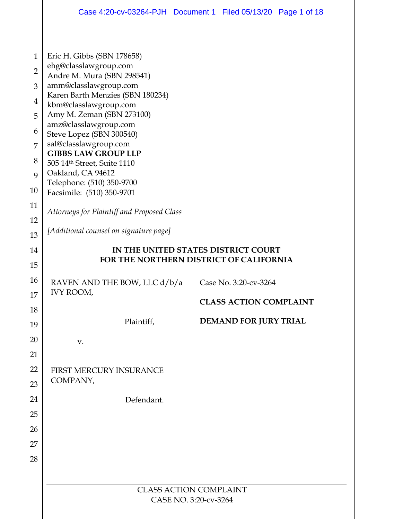|                | Case 4:20-cv-03264-PJH Document 1 Filed 05/13/20 Page 1 of 18                  |                               |                               |  |
|----------------|--------------------------------------------------------------------------------|-------------------------------|-------------------------------|--|
|                |                                                                                |                               |                               |  |
| $\mathbf{1}$   | Eric H. Gibbs (SBN 178658)                                                     |                               |                               |  |
| $\overline{2}$ | ehg@classlawgroup.com<br>Andre M. Mura (SBN 298541)                            |                               |                               |  |
| 3              | amm@classlawgroup.com                                                          |                               |                               |  |
| $\overline{4}$ | Karen Barth Menzies (SBN 180234)<br>kbm@classlawgroup.com                      |                               |                               |  |
| 5              | Amy M. Zeman (SBN 273100)                                                      |                               |                               |  |
| 6              | amz@classlawgroup.com<br>Steve Lopez (SBN 300540)                              |                               |                               |  |
| 7              | sal@classlawgroup.com                                                          |                               |                               |  |
| 8              | <b>GIBBS LAW GROUP LLP</b><br>505 14th Street, Suite 1110                      |                               |                               |  |
| 9              | Oakland, CA 94612                                                              |                               |                               |  |
| 10             | Telephone: (510) 350-9700<br>Facsimile: (510) 350-9701                         |                               |                               |  |
| 11             | Attorneys for Plaintiff and Proposed Class                                     |                               |                               |  |
| 12             |                                                                                |                               |                               |  |
| 13             | [Additional counsel on signature page]                                         |                               |                               |  |
| 14             | IN THE UNITED STATES DISTRICT COURT<br>FOR THE NORTHERN DISTRICT OF CALIFORNIA |                               |                               |  |
| 15             |                                                                                |                               |                               |  |
| 16             | RAVEN AND THE BOW, LLC d/b/a                                                   |                               | Case No. 3:20-cv-3264         |  |
| $17\,$         | <b>IVY ROOM,</b>                                                               |                               | <b>CLASS ACTION COMPLAINT</b> |  |
| 18             |                                                                                |                               |                               |  |
| 19             | Plaintiff,                                                                     |                               | <b>DEMAND FOR JURY TRIAL</b>  |  |
| 20             | V.                                                                             |                               |                               |  |
| 21             |                                                                                |                               |                               |  |
| 22             | FIRST MERCURY INSURANCE<br>COMPANY,                                            |                               |                               |  |
| 23             |                                                                                |                               |                               |  |
| 24             | Defendant.                                                                     |                               |                               |  |
| 25             |                                                                                |                               |                               |  |
| 26<br>27       |                                                                                |                               |                               |  |
| 28             |                                                                                |                               |                               |  |
|                |                                                                                |                               |                               |  |
|                |                                                                                | <b>CLASS ACTION COMPLAINT</b> |                               |  |
|                |                                                                                | CASE NO. 3:20-cv-3264         |                               |  |
|                |                                                                                |                               |                               |  |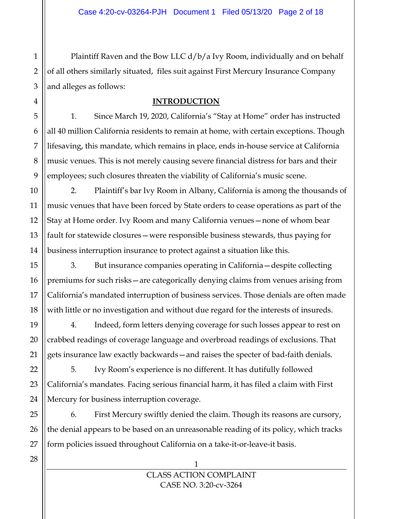Plaintiff Raven and the Bow LLC d/b/a Ivy Room, individually and on behalf of all others similarly situated, files suit against First Mercury Insurance Company and alleges as follows:

### **INTRODUCTION**

1. Since March 19, 2020, California's "Stay at Home" order has instructed all 40 million California residents to remain at home, with certain exceptions. Though lifesaving, this mandate, which remains in place, ends in-house service at California music venues. This is not merely causing severe financial distress for bars and their employees; such closures threaten the viability of California's music scene.

2. Plaintiff's bar Ivy Room in Albany, California is among the thousands of music venues that have been forced by State orders to cease operations as part of the Stay at Home order. Ivy Room and many California venues—none of whom bear fault for statewide closures—were responsible business stewards, thus paying for business interruption insurance to protect against a situation like this.

3. But insurance companies operating in California—despite collecting premiums for such risks—are categorically denying claims from venues arising from California's mandated interruption of business services. Those denials are often made with little or no investigation and without due regard for the interests of insureds.

4. Indeed, form letters denying coverage for such losses appear to rest on crabbed readings of coverage language and overbroad readings of exclusions. That gets insurance law exactly backwards—and raises the specter of bad-faith denials.

5. Ivy Room's experience is no different. It has dutifully followed California's mandates. Facing serious financial harm, it has filed a claim with First Mercury for business interruption coverage.

6. First Mercury swiftly denied the claim. Though its reasons are cursory, the denial appears to be based on an unreasonable reading of its policy, which tracks form policies issued throughout California on a take-it-or-leave-it basis.

1

1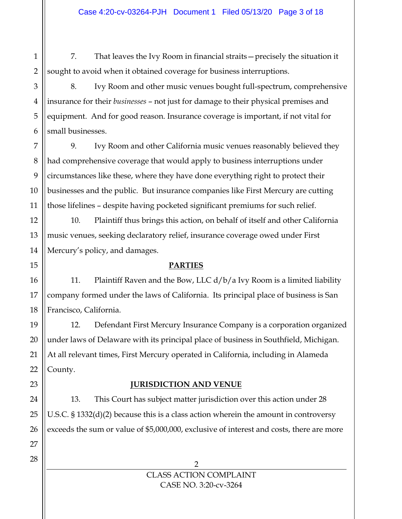7. That leaves the Ivy Room in financial straits—precisely the situation it sought to avoid when it obtained coverage for business interruptions.

8. Ivy Room and other music venues bought full-spectrum, comprehensive insurance for their *businesses* – not just for damage to their physical premises and equipment. And for good reason. Insurance coverage is important, if not vital for small businesses.

9. Ivy Room and other California music venues reasonably believed they had comprehensive coverage that would apply to business interruptions under circumstances like these, where they have done everything right to protect their businesses and the public. But insurance companies like First Mercury are cutting those lifelines – despite having pocketed significant premiums for such relief.

10. Plaintiff thus brings this action, on behalf of itself and other California music venues, seeking declaratory relief, insurance coverage owed under First Mercury's policy, and damages.

#### **PARTIES**

11. Plaintiff Raven and the Bow, LLC  $d/b/a$  Ivy Room is a limited liability company formed under the laws of California. Its principal place of business is San Francisco, California.

12. Defendant First Mercury Insurance Company is a corporation organized under laws of Delaware with its principal place of business in Southfield, Michigan. At all relevant times, First Mercury operated in California, including in Alameda County.

### **JURISDICTION AND VENUE**

13. This Court has subject matter jurisdiction over this action under 28 U.S.C. § 1332(d)(2) because this is a class action wherein the amount in controversy exceeds the sum or value of \$5,000,000, exclusive of interest and costs, there are more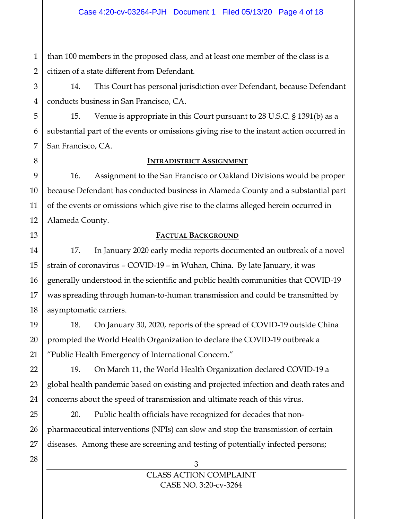1 2 than 100 members in the proposed class, and at least one member of the class is a citizen of a state different from Defendant.

14. This Court has personal jurisdiction over Defendant, because Defendant conducts business in San Francisco, CA.

15. Venue is appropriate in this Court pursuant to 28 U.S.C. § 1391(b) as a substantial part of the events or omissions giving rise to the instant action occurred in San Francisco, CA.

#### **INTRADISTRICT ASSIGNMENT**

16. Assignment to the San Francisco or Oakland Divisions would be proper because Defendant has conducted business in Alameda County and a substantial part of the events or omissions which give rise to the claims alleged herein occurred in Alameda County.

## **FACTUAL BACKGROUND**

17. In January 2020 early media reports documented an outbreak of a novel strain of coronavirus – COVID-19 – in Wuhan, China. By late January, it was generally understood in the scientific and public health communities that COVID-19 was spreading through human-to-human transmission and could be transmitted by asymptomatic carriers.

18. On January 30, 2020, reports of the spread of COVID-19 outside China prompted the World Health Organization to declare the COVID-19 outbreak a "Public Health Emergency of International Concern."

19. On March 11, the World Health Organization declared COVID-19 a global health pandemic based on existing and projected infection and death rates and concerns about the speed of transmission and ultimate reach of this virus.

20. Public health officials have recognized for decades that nonpharmaceutical interventions (NPIs) can slow and stop the transmission of certain diseases. Among these are screening and testing of potentially infected persons;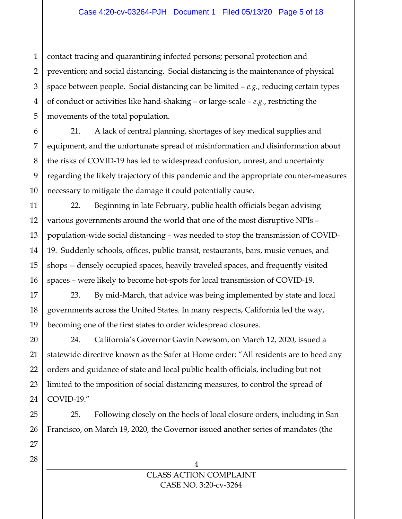1 2 3 contact tracing and quarantining infected persons; personal protection and prevention; and social distancing. Social distancing is the maintenance of physical space between people. Social distancing can be limited – *e.g.*, reducing certain types of conduct or activities like hand-shaking – or large-scale – *e.g.*, restricting the movements of the total population.

21. A lack of central planning, shortages of key medical supplies and equipment, and the unfortunate spread of misinformation and disinformation about the risks of COVID-19 has led to widespread confusion, unrest, and uncertainty regarding the likely trajectory of this pandemic and the appropriate counter-measures necessary to mitigate the damage it could potentially cause.

22. Beginning in late February, public health officials began advising various governments around the world that one of the most disruptive NPIs – population-wide social distancing – was needed to stop the transmission of COVID-19. Suddenly schools, offices, public transit, restaurants, bars, music venues, and shops -- densely occupied spaces, heavily traveled spaces, and frequently visited spaces – were likely to become hot-spots for local transmission of COVID-19.

23. By mid-March, that advice was being implemented by state and local governments across the United States. In many respects, California led the way, becoming one of the first states to order widespread closures.

24. California's Governor Gavin Newsom, on March 12, 2020, issued a statewide directive known as the Safer at Home order: "All residents are to heed any orders and guidance of state and local public health officials, including but not limited to the imposition of social distancing measures, to control the spread of COVID-19."

25. Following closely on the heels of local closure orders, including in San Francisco, on March 19, 2020, the Governor issued another series of mandates (the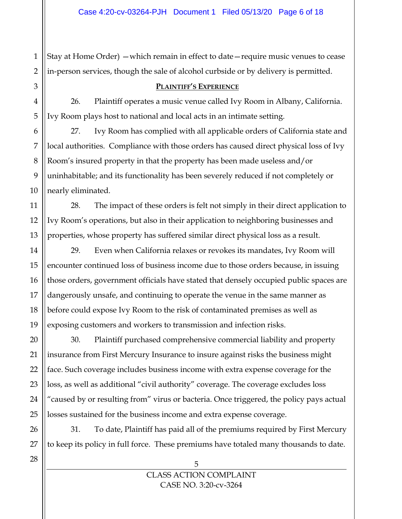1 Stay at Home Order) —which remain in effect to date—require music venues to cease in-person services, though the sale of alcohol curbside or by delivery is permitted.

#### **PLAINTIFF'S EXPERIENCE**

26. Plaintiff operates a music venue called Ivy Room in Albany, California. Ivy Room plays host to national and local acts in an intimate setting.

27. Ivy Room has complied with all applicable orders of California state and local authorities. Compliance with those orders has caused direct physical loss of Ivy Room's insured property in that the property has been made useless and/or uninhabitable; and its functionality has been severely reduced if not completely or nearly eliminated.

28. The impact of these orders is felt not simply in their direct application to Ivy Room's operations, but also in their application to neighboring businesses and properties, whose property has suffered similar direct physical loss as a result.

29. Even when California relaxes or revokes its mandates, Ivy Room will encounter continued loss of business income due to those orders because, in issuing those orders, government officials have stated that densely occupied public spaces are dangerously unsafe, and continuing to operate the venue in the same manner as before could expose Ivy Room to the risk of contaminated premises as well as exposing customers and workers to transmission and infection risks.

30. Plaintiff purchased comprehensive commercial liability and property insurance from First Mercury Insurance to insure against risks the business might face. Such coverage includes business income with extra expense coverage for the loss, as well as additional "civil authority" coverage. The coverage excludes loss "caused by or resulting from" virus or bacteria. Once triggered, the policy pays actual losses sustained for the business income and extra expense coverage.

31. To date, Plaintiff has paid all of the premiums required by First Mercury to keep its policy in full force. These premiums have totaled many thousands to date.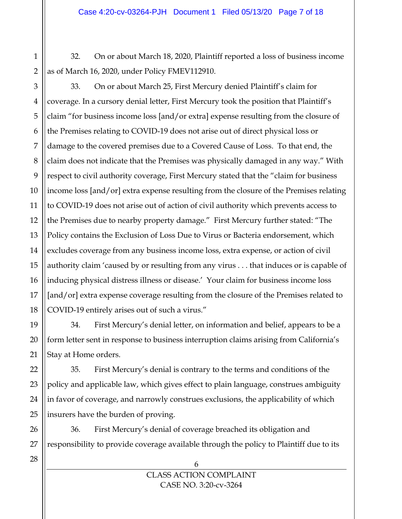32. On or about March 18, 2020, Plaintiff reported a loss of business income as of March 16, 2020, under Policy FMEV112910.

1

2

33. On or about March 25, First Mercury denied Plaintiff's claim for coverage. In a cursory denial letter, First Mercury took the position that Plaintiff's claim "for business income loss [and/or extra] expense resulting from the closure of the Premises relating to COVID-19 does not arise out of direct physical loss or damage to the covered premises due to a Covered Cause of Loss. To that end, the claim does not indicate that the Premises was physically damaged in any way." With respect to civil authority coverage, First Mercury stated that the "claim for business income loss [and/or] extra expense resulting from the closure of the Premises relating to COVID-19 does not arise out of action of civil authority which prevents access to the Premises due to nearby property damage." First Mercury further stated: "The Policy contains the Exclusion of Loss Due to Virus or Bacteria endorsement, which excludes coverage from any business income loss, extra expense, or action of civil authority claim 'caused by or resulting from any virus . . . that induces or is capable of inducing physical distress illness or disease.' Your claim for business income loss [and/or] extra expense coverage resulting from the closure of the Premises related to COVID-19 entirely arises out of such a virus."

34. First Mercury's denial letter, on information and belief, appears to be a form letter sent in response to business interruption claims arising from California's Stay at Home orders.

35. First Mercury's denial is contrary to the terms and conditions of the policy and applicable law, which gives effect to plain language, construes ambiguity in favor of coverage, and narrowly construes exclusions, the applicability of which insurers have the burden of proving.

36. First Mercury's denial of coverage breached its obligation and responsibility to provide coverage available through the policy to Plaintiff due to its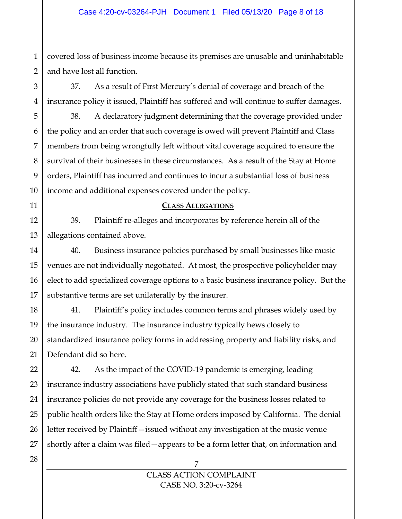1 2 covered loss of business income because its premises are unusable and uninhabitable and have lost all function.

37. As a result of First Mercury's denial of coverage and breach of the insurance policy it issued, Plaintiff has suffered and will continue to suffer damages.

38. A declaratory judgment determining that the coverage provided under the policy and an order that such coverage is owed will prevent Plaintiff and Class members from being wrongfully left without vital coverage acquired to ensure the survival of their businesses in these circumstances. As a result of the Stay at Home orders, Plaintiff has incurred and continues to incur a substantial loss of business income and additional expenses covered under the policy.

#### **CLASS ALLEGATIONS**

39. Plaintiff re-alleges and incorporates by reference herein all of the allegations contained above.

40. Business insurance policies purchased by small businesses like music venues are not individually negotiated. At most, the prospective policyholder may elect to add specialized coverage options to a basic business insurance policy. But the substantive terms are set unilaterally by the insurer.

41. Plaintiff's policy includes common terms and phrases widely used by the insurance industry. The insurance industry typically hews closely to standardized insurance policy forms in addressing property and liability risks, and Defendant did so here.

42. As the impact of the COVID-19 pandemic is emerging, leading insurance industry associations have publicly stated that such standard business insurance policies do not provide any coverage for the business losses related to public health orders like the Stay at Home orders imposed by California. The denial letter received by Plaintiff—issued without any investigation at the music venue shortly after a claim was filed—appears to be a form letter that, on information and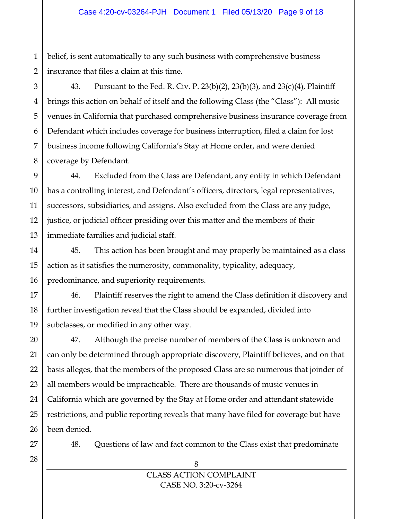1 belief, is sent automatically to any such business with comprehensive business insurance that files a claim at this time.

43. Pursuant to the Fed. R. Civ. P. 23(b)(2), 23(b)(3), and 23(c)(4), Plaintiff brings this action on behalf of itself and the following Class (the "Class"): All music venues in California that purchased comprehensive business insurance coverage from Defendant which includes coverage for business interruption, filed a claim for lost business income following California's Stay at Home order, and were denied coverage by Defendant.

44. Excluded from the Class are Defendant, any entity in which Defendant has a controlling interest, and Defendant's officers, directors, legal representatives, successors, subsidiaries, and assigns. Also excluded from the Class are any judge, justice, or judicial officer presiding over this matter and the members of their immediate families and judicial staff.

45. This action has been brought and may properly be maintained as a class action as it satisfies the numerosity, commonality, typicality, adequacy, predominance, and superiority requirements.

46. Plaintiff reserves the right to amend the Class definition if discovery and further investigation reveal that the Class should be expanded, divided into subclasses, or modified in any other way.

47. Although the precise number of members of the Class is unknown and can only be determined through appropriate discovery, Plaintiff believes, and on that basis alleges, that the members of the proposed Class are so numerous that joinder of all members would be impracticable. There are thousands of music venues in California which are governed by the Stay at Home order and attendant statewide restrictions, and public reporting reveals that many have filed for coverage but have been denied.

48. Questions of law and fact common to the Class exist that predominate

8 CLASS ACTION COMPLAINT CASE NO. 3:20-cv-3264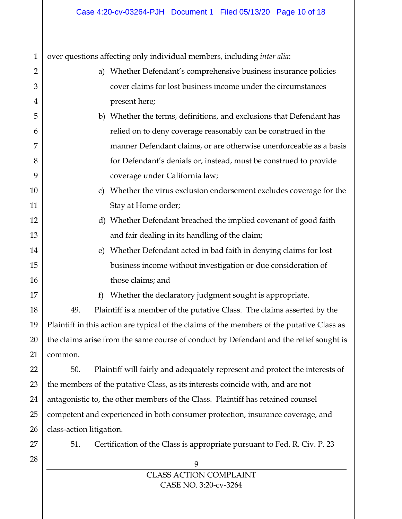9 CLASS ACTION COMPLAINT 1 2 3 4 5 6 7 8 9 10 11 12 13 14 15 16 17 18 19 20 21 22 23 24 25 26 27 28 over questions affecting only individual members, including *inter alia*: a) Whether Defendant's comprehensive business insurance policies cover claims for lost business income under the circumstances present here; b) Whether the terms, definitions, and exclusions that Defendant has relied on to deny coverage reasonably can be construed in the manner Defendant claims, or are otherwise unenforceable as a basis for Defendant's denials or, instead, must be construed to provide coverage under California law; c) Whether the virus exclusion endorsement excludes coverage for the Stay at Home order; d) Whether Defendant breached the implied covenant of good faith and fair dealing in its handling of the claim; e) Whether Defendant acted in bad faith in denying claims for lost business income without investigation or due consideration of those claims; and f) Whether the declaratory judgment sought is appropriate. 49. Plaintiff is a member of the putative Class. The claims asserted by the Plaintiff in this action are typical of the claims of the members of the putative Class as the claims arise from the same course of conduct by Defendant and the relief sought is common. 50. Plaintiff will fairly and adequately represent and protect the interests of the members of the putative Class, as its interests coincide with, and are not antagonistic to, the other members of the Class. Plaintiff has retained counsel competent and experienced in both consumer protection, insurance coverage, and class-action litigation. 51. Certification of the Class is appropriate pursuant to Fed. R. Civ. P. 23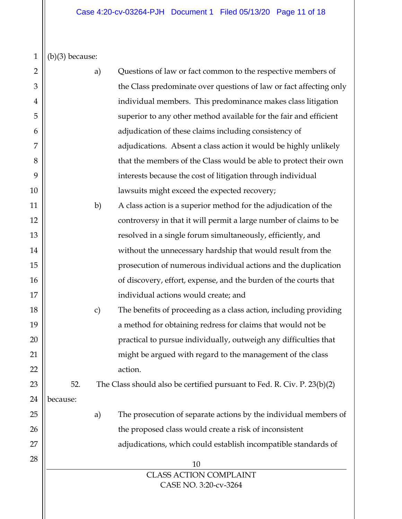$1 \mid \mid (b)(3)$  because:

| $\overline{2}$ |          | a)            | Questions of law or fact common to the respective members of            |
|----------------|----------|---------------|-------------------------------------------------------------------------|
| 3              |          |               | the Class predominate over questions of law or fact affecting only      |
| 4              |          |               | individual members. This predominance makes class litigation            |
| 5              |          |               | superior to any other method available for the fair and efficient       |
| 6              |          |               | adjudication of these claims including consistency of                   |
| 7              |          |               | adjudications. Absent a class action it would be highly unlikely        |
| 8              |          |               | that the members of the Class would be able to protect their own        |
| 9              |          |               | interests because the cost of litigation through individual             |
| 10             |          |               | lawsuits might exceed the expected recovery;                            |
| 11             |          | b)            | A class action is a superior method for the adjudication of the         |
| 12             |          |               | controversy in that it will permit a large number of claims to be       |
| 13             |          |               | resolved in a single forum simultaneously, efficiently, and             |
| 14             |          |               | without the unnecessary hardship that would result from the             |
| 15             |          |               | prosecution of numerous individual actions and the duplication          |
| 16             |          |               | of discovery, effort, expense, and the burden of the courts that        |
| 17             |          |               | individual actions would create; and                                    |
| 18             |          | $\mathbf{c})$ | The benefits of proceeding as a class action, including providing       |
| 19             |          |               | a method for obtaining redress for claims that would not be             |
| 20             |          |               | practical to pursue individually, outweigh any difficulties that        |
| 21             |          |               | might be argued with regard to the management of the class              |
| 22             |          |               | action.                                                                 |
| 23             | 52.      |               | The Class should also be certified pursuant to Fed. R. Civ. P. 23(b)(2) |
| 24             | because: |               |                                                                         |
| 25             |          | a)            | The prosecution of separate actions by the individual members of        |
| 26             |          |               | the proposed class would create a risk of inconsistent                  |
| 27             |          |               | adjudications, which could establish incompatible standards of          |
| 28             |          |               | 10                                                                      |
|                |          |               | <b>CLASS ACTION COMPLAINT</b>                                           |
|                |          |               | CASE NO. 3:20-cv-3264                                                   |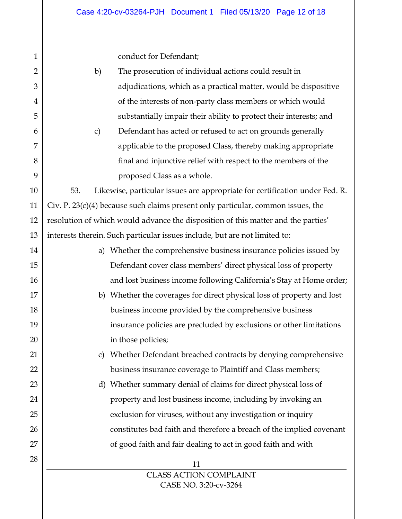conduct for Defendant;

| $\overline{2}$ | b)<br>The prosecution of individual actions could result in                        |
|----------------|------------------------------------------------------------------------------------|
| 3              | adjudications, which as a practical matter, would be dispositive                   |
|                |                                                                                    |
| $\overline{4}$ | of the interests of non-party class members or which would                         |
| 5              | substantially impair their ability to protect their interests; and                 |
| 6              | Defendant has acted or refused to act on grounds generally<br>c)                   |
| 7              | applicable to the proposed Class, thereby making appropriate                       |
| 8              | final and injunctive relief with respect to the members of the                     |
| 9              | proposed Class as a whole.                                                         |
| 10             | Likewise, particular issues are appropriate for certification under Fed. R.<br>53. |
| 11             | Civ. P. $23(c)(4)$ because such claims present only particular, common issues, the |
| 12             | resolution of which would advance the disposition of this matter and the parties'  |
| 13             | interests therein. Such particular issues include, but are not limited to:         |
| 14             | a) Whether the comprehensive business insurance policies issued by                 |
| 15             | Defendant cover class members' direct physical loss of property                    |
| 16             | and lost business income following California's Stay at Home order;                |
| 17             | b) Whether the coverages for direct physical loss of property and lost             |
| 18             | business income provided by the comprehensive business                             |
| 19             | insurance policies are precluded by exclusions or other limitations                |
| 20             | in those policies;                                                                 |
| 21             | c) Whether Defendant breached contracts by denying comprehensive                   |
| 22             | business insurance coverage to Plaintiff and Class members;                        |
| 23             | d) Whether summary denial of claims for direct physical loss of                    |
| 24             | property and lost business income, including by invoking an                        |
| 25             | exclusion for viruses, without any investigation or inquiry                        |
| 26             | constitutes bad faith and therefore a breach of the implied covenant               |
| 27             | of good faith and fair dealing to act in good faith and with                       |
| 28             | 11                                                                                 |
|                | <b>CLASS ACTION COMPLAINT</b>                                                      |
|                | CASE NO. 3:20-cv-3264                                                              |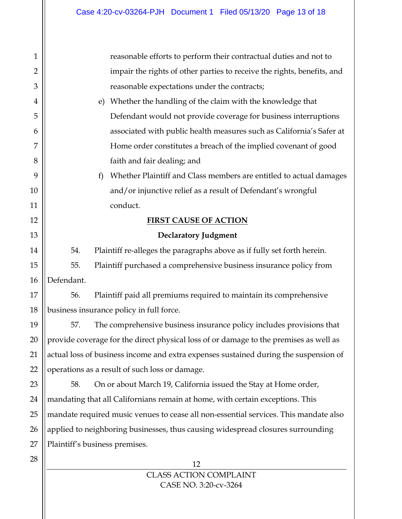| $\mathbf{1}$   | reasonable efforts to perform their contractual duties and not to                     |  |  |  |  |
|----------------|---------------------------------------------------------------------------------------|--|--|--|--|
| $\overline{2}$ | impair the rights of other parties to receive the rights, benefits, and               |  |  |  |  |
| $\mathfrak{B}$ | reasonable expectations under the contracts;                                          |  |  |  |  |
| 4              | Whether the handling of the claim with the knowledge that<br>e)                       |  |  |  |  |
| 5              | Defendant would not provide coverage for business interruptions                       |  |  |  |  |
| 6              | associated with public health measures such as California's Safer at                  |  |  |  |  |
| 7              | Home order constitutes a breach of the implied covenant of good                       |  |  |  |  |
| 8              | faith and fair dealing; and                                                           |  |  |  |  |
| 9              | Whether Plaintiff and Class members are entitled to actual damages<br>f               |  |  |  |  |
| 10             | and/or injunctive relief as a result of Defendant's wrongful                          |  |  |  |  |
| 11             | conduct.                                                                              |  |  |  |  |
| 12             | <b>FIRST CAUSE OF ACTION</b>                                                          |  |  |  |  |
| 13             | <b>Declaratory Judgment</b>                                                           |  |  |  |  |
| 14             | 54.<br>Plaintiff re-alleges the paragraphs above as if fully set forth herein.        |  |  |  |  |
| 15             | Plaintiff purchased a comprehensive business insurance policy from<br>55.             |  |  |  |  |
| 16             | Defendant.                                                                            |  |  |  |  |
| 17             | Plaintiff paid all premiums required to maintain its comprehensive<br>56.             |  |  |  |  |
| 18             | business insurance policy in full force.                                              |  |  |  |  |
| 19             | The comprehensive business insurance policy includes provisions that<br>57.           |  |  |  |  |
| 20             | provide coverage for the direct physical loss of or damage to the premises as well as |  |  |  |  |
| 21             | actual loss of business income and extra expenses sustained during the suspension of  |  |  |  |  |
| 22             | operations as a result of such loss or damage.                                        |  |  |  |  |
| 23             | On or about March 19, California issued the Stay at Home order,<br>58.                |  |  |  |  |
| 24             | mandating that all Californians remain at home, with certain exceptions. This         |  |  |  |  |
| 25             | mandate required music venues to cease all non-essential services. This mandate also  |  |  |  |  |
| 26             | applied to neighboring businesses, thus causing widespread closures surrounding       |  |  |  |  |
| 27             | Plaintiff's business premises.                                                        |  |  |  |  |
| 28             | 12                                                                                    |  |  |  |  |
|                |                                                                                       |  |  |  |  |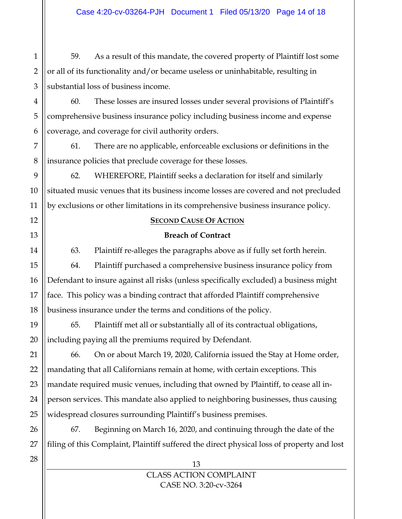1 59. As a result of this mandate, the covered property of Plaintiff lost some or all of its functionality and/or became useless or uninhabitable, resulting in substantial loss of business income.

60. These losses are insured losses under several provisions of Plaintiff's comprehensive business insurance policy including business income and expense coverage, and coverage for civil authority orders.

61. There are no applicable, enforceable exclusions or definitions in the insurance policies that preclude coverage for these losses.

62. WHEREFORE, Plaintiff seeks a declaration for itself and similarly situated music venues that its business income losses are covered and not precluded by exclusions or other limitations in its comprehensive business insurance policy.

### **SECOND CAUSE OF ACTION**

### **Breach of Contract**

63. Plaintiff re-alleges the paragraphs above as if fully set forth herein.

64. Plaintiff purchased a comprehensive business insurance policy from Defendant to insure against all risks (unless specifically excluded) a business might face. This policy was a binding contract that afforded Plaintiff comprehensive business insurance under the terms and conditions of the policy.

65. Plaintiff met all or substantially all of its contractual obligations, including paying all the premiums required by Defendant.

66. On or about March 19, 2020, California issued the Stay at Home order, mandating that all Californians remain at home, with certain exceptions. This mandate required music venues, including that owned by Plaintiff, to cease all inperson services. This mandate also applied to neighboring businesses, thus causing widespread closures surrounding Plaintiff's business premises.

67. Beginning on March 16, 2020, and continuing through the date of the filing of this Complaint, Plaintiff suffered the direct physical loss of property and lost

> 13 CLASS ACTION COMPLAINT CASE NO. 3:20-cv-3264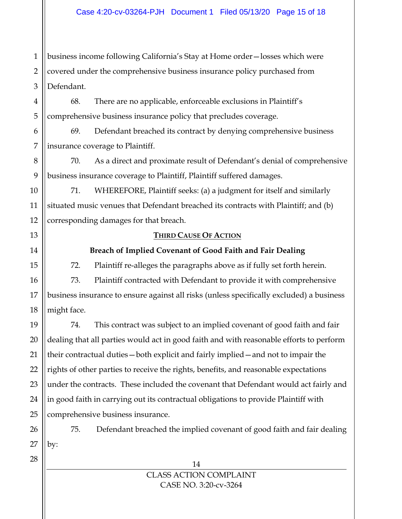1 2 3 business income following California's Stay at Home order—losses which were covered under the comprehensive business insurance policy purchased from Defendant.

68. There are no applicable, enforceable exclusions in Plaintiff's comprehensive business insurance policy that precludes coverage.

69. Defendant breached its contract by denying comprehensive business insurance coverage to Plaintiff.

70. As a direct and proximate result of Defendant's denial of comprehensive business insurance coverage to Plaintiff, Plaintiff suffered damages.

71. WHEREFORE, Plaintiff seeks: (a) a judgment for itself and similarly situated music venues that Defendant breached its contracts with Plaintiff; and (b) corresponding damages for that breach.

#### **THIRD CAUSE OF ACTION**

### **Breach of Implied Covenant of Good Faith and Fair Dealing**

72. Plaintiff re-alleges the paragraphs above as if fully set forth herein.

73. Plaintiff contracted with Defendant to provide it with comprehensive business insurance to ensure against all risks (unless specifically excluded) a business might face.

74. This contract was subject to an implied covenant of good faith and fair dealing that all parties would act in good faith and with reasonable efforts to perform their contractual duties—both explicit and fairly implied—and not to impair the rights of other parties to receive the rights, benefits, and reasonable expectations under the contracts. These included the covenant that Defendant would act fairly and in good faith in carrying out its contractual obligations to provide Plaintiff with comprehensive business insurance.

75. Defendant breached the implied covenant of good faith and fair dealing by: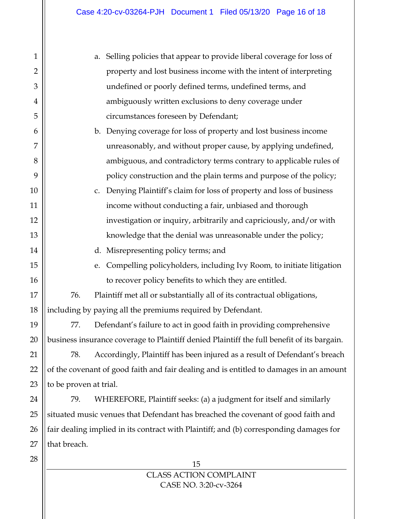| $\mathbf{1}$   | Selling policies that appear to provide liberal coverage for loss of<br>a.                 |
|----------------|--------------------------------------------------------------------------------------------|
| $\overline{2}$ | property and lost business income with the intent of interpreting                          |
| 3              | undefined or poorly defined terms, undefined terms, and                                    |
| $\overline{4}$ | ambiguously written exclusions to deny coverage under                                      |
| 5              | circumstances foreseen by Defendant;                                                       |
| 6              | b. Denying coverage for loss of property and lost business income                          |
| 7              | unreasonably, and without proper cause, by applying undefined,                             |
| 8              | ambiguous, and contradictory terms contrary to applicable rules of                         |
| 9              | policy construction and the plain terms and purpose of the policy;                         |
| 10             | Denying Plaintiff's claim for loss of property and loss of business<br>c.                  |
| 11             | income without conducting a fair, unbiased and thorough                                    |
| 12             | investigation or inquiry, arbitrarily and capriciously, and/or with                        |
| 13             | knowledge that the denial was unreasonable under the policy;                               |
| 14             | d. Misrepresenting policy terms; and                                                       |
| 15             | Compelling policyholders, including Ivy Room, to initiate litigation<br>e.                 |
| 16             | to recover policy benefits to which they are entitled.                                     |
| 17             | Plaintiff met all or substantially all of its contractual obligations,<br>76.              |
| 18             | including by paying all the premiums required by Defendant.                                |
| 19             | 77.<br>Defendant's failure to act in good faith in providing comprehensive                 |
| 20             | business insurance coverage to Plaintiff denied Plaintiff the full benefit of its bargain. |
| 21             | Accordingly, Plaintiff has been injured as a result of Defendant's breach<br>78.           |
| 22             | of the covenant of good faith and fair dealing and is entitled to damages in an amount     |
| 23             | to be proven at trial.                                                                     |
| 24             | 79.<br>WHEREFORE, Plaintiff seeks: (a) a judgment for itself and similarly                 |
| 25             | situated music venues that Defendant has breached the covenant of good faith and           |
| 26             | fair dealing implied in its contract with Plaintiff; and (b) corresponding damages for     |
| 27             | that breach.                                                                               |
| 28             | 15                                                                                         |
|                |                                                                                            |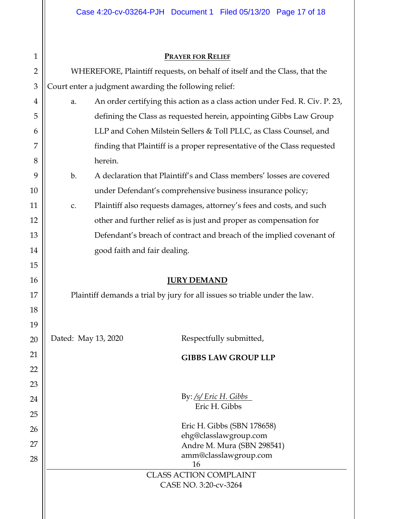| $\mathbf{1}$   |                                                                            | <b>PRAYER FOR RELIEF</b>                                                    |  |  |  |  |  |  |
|----------------|----------------------------------------------------------------------------|-----------------------------------------------------------------------------|--|--|--|--|--|--|
| $\overline{2}$ | WHEREFORE, Plaintiff requests, on behalf of itself and the Class, that the |                                                                             |  |  |  |  |  |  |
| $\mathfrak{B}$ | Court enter a judgment awarding the following relief:                      |                                                                             |  |  |  |  |  |  |
|                |                                                                            |                                                                             |  |  |  |  |  |  |
| 4              | a.                                                                         | An order certifying this action as a class action under Fed. R. Civ. P. 23, |  |  |  |  |  |  |
| 5              |                                                                            | defining the Class as requested herein, appointing Gibbs Law Group          |  |  |  |  |  |  |
| 6              | LLP and Cohen Milstein Sellers & Toll PLLC, as Class Counsel, and          |                                                                             |  |  |  |  |  |  |
| 7              |                                                                            | finding that Plaintiff is a proper representative of the Class requested    |  |  |  |  |  |  |
| 8              | herein.                                                                    |                                                                             |  |  |  |  |  |  |
| 9              | b.                                                                         | A declaration that Plaintiff's and Class members' losses are covered        |  |  |  |  |  |  |
| 10             |                                                                            | under Defendant's comprehensive business insurance policy;                  |  |  |  |  |  |  |
| 11             | c.                                                                         | Plaintiff also requests damages, attorney's fees and costs, and such        |  |  |  |  |  |  |
| 12             |                                                                            | other and further relief as is just and proper as compensation for          |  |  |  |  |  |  |
| 13             |                                                                            | Defendant's breach of contract and breach of the implied covenant of        |  |  |  |  |  |  |
| 14             | good faith and fair dealing.                                               |                                                                             |  |  |  |  |  |  |
| 15             |                                                                            |                                                                             |  |  |  |  |  |  |
| 16             |                                                                            | <b>JURY DEMAND</b>                                                          |  |  |  |  |  |  |
| 17             | Plaintiff demands a trial by jury for all issues so triable under the law. |                                                                             |  |  |  |  |  |  |
| 18             |                                                                            |                                                                             |  |  |  |  |  |  |
| 19             |                                                                            |                                                                             |  |  |  |  |  |  |
| 20             | Dated: May 13, 2020                                                        | Respectfully submitted,                                                     |  |  |  |  |  |  |
| 21             |                                                                            | <b>GIBBS LAW GROUP LLP</b>                                                  |  |  |  |  |  |  |
| 22             |                                                                            |                                                                             |  |  |  |  |  |  |
| 23             |                                                                            |                                                                             |  |  |  |  |  |  |
| 24             | By: /s/ Eric H. Gibbs                                                      |                                                                             |  |  |  |  |  |  |
| 25             | Eric H. Gibbs                                                              |                                                                             |  |  |  |  |  |  |
| 26             | Eric H. Gibbs (SBN 178658)                                                 |                                                                             |  |  |  |  |  |  |
| 27             |                                                                            | ehg@classlawgroup.com                                                       |  |  |  |  |  |  |
| 28             |                                                                            | Andre M. Mura (SBN 298541)<br>amm@classlawgroup.com                         |  |  |  |  |  |  |
|                |                                                                            | 16                                                                          |  |  |  |  |  |  |
|                |                                                                            | <b>CLASS ACTION COMPLAINT</b><br>CASE NO. 3:20-cv-3264                      |  |  |  |  |  |  |
|                |                                                                            |                                                                             |  |  |  |  |  |  |

 $\parallel$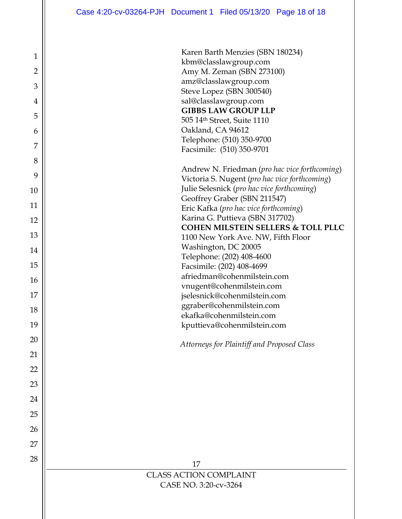| $\mathbf 1$     |
|-----------------|
| $\overline{2}$  |
| 3               |
| $\overline{4}$  |
| 5               |
| 6               |
| $\overline{7}$  |
| 8               |
| 9               |
| 10 <sup>1</sup> |
| 11              |
| 12              |
| 13              |
| 14              |
| 15              |
| 16              |
| 17              |
| 18              |
| 19              |
| 20              |
| 21              |
| 22              |
| 23              |
| 24              |
| 25              |
| 26              |
| 27              |
| 28              |

| Karen Barth Menzies (SBN 180234)                       |
|--------------------------------------------------------|
| kbm@classlawgroup.com                                  |
| Amy M. Zeman (SBN 273100)                              |
| amz@classlawgroup.com                                  |
| Steve Lopez (SBN 300540)                               |
| sal@classlawgroup.com                                  |
| <b>GIBBS LAW GROUP LLP</b>                             |
| 505 14th Street, Suite 1110                            |
| Oakland, CA 94612                                      |
| Telephone: (510) 350-9700                              |
| Facsimile: (510) 350-9701                              |
|                                                        |
| Andrew N. Friedman ( <i>pro hac vice forthcoming</i> ) |
| Victoria S. Nugent (pro hac vice forthcoming)          |
| Julie Selesnick (pro hac vice forthcoming)             |
| Geoffrey Graber (SBN 211547)                           |
| Eric Kafka (pro hac vice forthcoming)                  |
| Karina G. Puttieva (SBN 317702)                        |
| <b>COHEN MILSTEIN SELLERS &amp; TOLL PLLC</b>          |
| 1100 New York Ave. NW, Fifth Floor                     |
| Washington, DC 20005                                   |
| Telephone: (202) 408-4600                              |
| Facsimile: (202) 408-4699                              |
| afriedman@cohenmilstein.com                            |
| vnugent@cohenmilstein.com                              |
| jselesnick@cohenmilstein.com                           |
| ggraber@cohenmilstein.com                              |
| ekafka@cohenmilstein.com                               |
| kputtieva@cohenmilstein.com                            |
| Attorneys for Plaintiff and Proposed Class             |
|                                                        |
|                                                        |
|                                                        |
|                                                        |
|                                                        |
|                                                        |
|                                                        |
|                                                        |
|                                                        |
|                                                        |
|                                                        |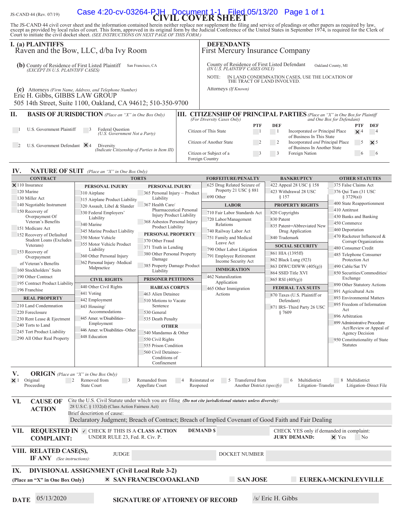#### IS-CAND 44 (Rev. 07/19) **Case 4:20-CV-03264-PJH**, **Pocument** Filed 05/13/20 Page 1 of 1

The JS-CAND 44 civil cover sheet and the information contained herein neither replace nor supplement the filing and service of pleadings or other papers as required by law,<br>except as provided by local rules of court. This

| Court to initiate the civil docket sheet. (SEE INSTRUCTIONS ON NEXT PAGE OF THIS FORM.)                        | except as provided by local rules of court. This form, approved in its original form by the Judicial Conference of the United States in September 1974, is required for the Clerk of |                                                            |          |                                                                                                            |                            |                                                                                                               |                                                          |  |
|----------------------------------------------------------------------------------------------------------------|--------------------------------------------------------------------------------------------------------------------------------------------------------------------------------------|------------------------------------------------------------|----------|------------------------------------------------------------------------------------------------------------|----------------------------|---------------------------------------------------------------------------------------------------------------|----------------------------------------------------------|--|
| <b>I.</b> (a) PLAINTIFFS                                                                                       | Raven and the Bow, LLC, d/ba Ivy Room                                                                                                                                                |                                                            |          | <b>DEFENDANTS</b>                                                                                          |                            | <b>First Mercury Insurance Company</b>                                                                        |                                                          |  |
| <b>(b)</b> County of Residence of First Listed Plaintiff San Francisco, CA<br>(EXCEPT IN U.S. PLAINTIFF CASES) |                                                                                                                                                                                      |                                                            |          | (IN U.Š. PLAINTIFF CASES ONLY)<br>NOTE:                                                                    |                            | County of Residence of First Listed Defendant<br>IN LAND CONDEMNATION CASES, USE THE LOCATION OF              | Oakland County, MI                                       |  |
|                                                                                                                |                                                                                                                                                                                      |                                                            |          |                                                                                                            |                            | THE TRACT OF LAND INVOLVED.                                                                                   |                                                          |  |
|                                                                                                                | (c) Attorneys (Firm Name, Address, and Telephone Number)                                                                                                                             |                                                            |          | Attorneys (If Known)                                                                                       |                            |                                                                                                               |                                                          |  |
| Eric H. Gibbs, GIBBS LAW GROUP                                                                                 |                                                                                                                                                                                      |                                                            |          |                                                                                                            |                            |                                                                                                               |                                                          |  |
|                                                                                                                | 505 14th Street, Suite 1100, Oakland, CA 94612; 510-350-9700                                                                                                                         |                                                            |          |                                                                                                            |                            |                                                                                                               |                                                          |  |
| Π.                                                                                                             | <b>BASIS OF JURISDICTION</b> (Place an "X" in One Box Only)                                                                                                                          |                                                            |          |                                                                                                            |                            | <b>III. CITIZENSHIP OF PRINCIPAL PARTIES</b> (Place an "X" in One Box for Plaintiff                           |                                                          |  |
|                                                                                                                |                                                                                                                                                                                      |                                                            |          | (For Diversity Cases Only)                                                                                 | <b>PTF</b>                 | <b>DEF</b>                                                                                                    | and One Box for Defendant)<br>DEF<br>PTF                 |  |
| U.S. Government Plaintiff                                                                                      | Federal Question<br>(U.S. Government Not a Party)                                                                                                                                    |                                                            |          | Citizen of This State                                                                                      | $\blacksquare$             | Incorporated or Principal Place<br>$\frac{1}{2}$<br>$\times$ 4<br>$\overline{4}$<br>of Business In This State |                                                          |  |
| U.S. Government Defendant $\times$ 4                                                                           | Diversity                                                                                                                                                                            |                                                            |          | Citizen of Another State                                                                                   | $\overline{\phantom{0}}^2$ | Incorporated and Principal Place<br>$\overline{\phantom{0}}$ 2<br>of Business In Another State                | -5<br>$\times$ 5                                         |  |
|                                                                                                                | (Indicate Citizenship of Parties in Item III)                                                                                                                                        |                                                            |          | Citizen or Subject of a<br>Foreign Country                                                                 | $\overline{\phantom{a}}$   | Foreign Nation<br>$\overline{\mathbf{3}}$                                                                     | -6<br>-6                                                 |  |
| IV.                                                                                                            | <b>NATURE OF SUIT</b> (Place an "X" in One Box Only)                                                                                                                                 |                                                            |          |                                                                                                            |                            |                                                                                                               |                                                          |  |
| <b>CONTRACT</b>                                                                                                | <b>TORTS</b>                                                                                                                                                                         |                                                            |          | <b>FORFEITURE/PENALTY</b>                                                                                  |                            | <b>BANKRUPTCY</b>                                                                                             | <b>OTHER STATUTES</b>                                    |  |
| $\times$ 110 Insurance                                                                                         | PERSONAL INJURY                                                                                                                                                                      | PERSONAL INJURY                                            |          | 625 Drug Related Seizure of                                                                                |                            | 422 Appeal 28 USC § 158                                                                                       | 375 False Claims Act                                     |  |
| 120 Marine                                                                                                     | 310 Airplane                                                                                                                                                                         | 365 Personal Injury - Product                              |          | Property 21 USC § 881                                                                                      |                            | 423 Withdrawal 28 USC                                                                                         | 376 Qui Tam (31 USC                                      |  |
| 130 Miller Act                                                                                                 | 315 Airplane Product Liability                                                                                                                                                       | Liability                                                  |          | 690 Other                                                                                                  |                            | § 157                                                                                                         | \$3729(a)                                                |  |
| 140 Negotiable Instrument                                                                                      | 320 Assault, Libel & Slander                                                                                                                                                         | 367 Health Care/                                           |          | <b>LABOR</b><br>710 Fair Labor Standards Act<br>720 Labor/Management<br>Relations<br>740 Railway Labor Act |                            | <b>PROPERTY RIGHTS</b>                                                                                        | 400 State Reapportionment<br>410 Antitrust               |  |
| 150 Recovery of<br>Overpayment Of                                                                              | 330 Federal Employers'                                                                                                                                                               | Pharmaceutical Personal<br><b>Injury Product Liability</b> |          |                                                                                                            |                            | 820 Copyrights                                                                                                | 430 Banks and Banking<br>450 Commerce<br>460 Deportation |  |
| Veteran's Benefits                                                                                             | Liability                                                                                                                                                                            | 368 Asbestos Personal Injury                               |          |                                                                                                            |                            | 830 Patent                                                                                                    |                                                          |  |
| 151 Medicare Act                                                                                               | 340 Marine<br>345 Marine Product Liability                                                                                                                                           | Product Liability                                          |          |                                                                                                            |                            | 835 Patent-Abbreviated New                                                                                    |                                                          |  |
| 152 Recovery of Defaulted                                                                                      | 350 Motor Vehicle                                                                                                                                                                    | PERSONAL PROPERTY                                          |          | 751 Family and Medical                                                                                     |                            | Drug Application<br>840 Trademark                                                                             | 470 Racketeer Influenced &                               |  |
| <b>Student Loans (Excludes</b>                                                                                 | 355 Motor Vehicle Product                                                                                                                                                            | 370 Other Fraud                                            |          | Leave Act                                                                                                  |                            |                                                                                                               | Corrupt Organizations                                    |  |
| Veterans)                                                                                                      | Liability                                                                                                                                                                            | 371 Truth in Lending                                       |          | 790 Other Labor Litigation                                                                                 |                            | <b>SOCIAL SECURITY</b>                                                                                        | 480 Consumer Credit                                      |  |
| 153 Recovery of<br>Overpayment                                                                                 | 360 Other Personal Injury                                                                                                                                                            | 380 Other Personal Property                                |          | 791 Employee Retirement                                                                                    |                            | 861 HIA (1395ff)                                                                                              | 485 Telephone Consumer                                   |  |
| of Veteran's Benefits                                                                                          | 362 Personal Injury -Medical                                                                                                                                                         | Damage                                                     |          | Income Security Act                                                                                        |                            | 862 Black Lung (923)                                                                                          | Protection Act                                           |  |
| 160 Stockholders' Suits                                                                                        | Malpractice                                                                                                                                                                          | 385 Property Damage Product<br>Liability                   |          | <b>IMMIGRATION</b>                                                                                         |                            | 863 DIWC/DIWW (405(g))<br>864 SSID Title XVI                                                                  | 490 Cable/Sat TV                                         |  |
| 190 Other Contract                                                                                             | <b>CIVIL RIGHTS</b>                                                                                                                                                                  | <b>PRISONER PETITIONS</b>                                  |          | 462 Naturalization                                                                                         |                            | 865 RSI $(405(g))$                                                                                            | 850 Securities/Commodities/<br>Exchange                  |  |
| 195 Contract Product Liability                                                                                 | 440 Other Civil Rights                                                                                                                                                               | <b>HABEAS CORPUS</b>                                       |          | Application                                                                                                |                            | <b>FEDERAL TAX SUITS</b>                                                                                      | 890 Other Statutory Actions                              |  |
| 196 Franchise                                                                                                  | 441 Voting                                                                                                                                                                           | 463 Alien Detainee                                         |          | 465 Other Immigration<br>Actions                                                                           |                            |                                                                                                               | 891 Agricultural Acts<br>893 Environmental Matters       |  |
| <b>REAL PROPERTY</b>                                                                                           | 442 Employment                                                                                                                                                                       | 510 Motions to Vacate                                      |          |                                                                                                            |                            | 870 Taxes (U.S. Plaintiff or<br>Defendant)                                                                    |                                                          |  |
| 210 Land Condemnation                                                                                          | 443 Housing/                                                                                                                                                                         | Sentence                                                   |          |                                                                                                            |                            | 871 IRS-Third Party 26 USC                                                                                    | 895 Freedom of Information                               |  |
| 220 Foreclosure                                                                                                | Accommodations                                                                                                                                                                       | 530 General                                                |          |                                                                                                            |                            | §7609                                                                                                         | Act<br>896 Arbitration                                   |  |
| 230 Rent Lease & Ejectment                                                                                     | 445 Amer. w/Disabilities-                                                                                                                                                            | 535 Death Penalty                                          |          |                                                                                                            |                            |                                                                                                               | 899 Administrative Procedure                             |  |
| 240 Torts to Land                                                                                              | Employment<br>446 Amer. w/Disabilities-Other                                                                                                                                         | <b>OTHER</b>                                               |          |                                                                                                            |                            |                                                                                                               | Act/Review or Appeal of                                  |  |
| 245 Tort Product Liability                                                                                     |                                                                                                                                                                                      | 540 Mandamus & Other<br>550 Civil Rights                   |          |                                                                                                            |                            |                                                                                                               | <b>Agency Decision</b>                                   |  |
| 290 All Other Real Property                                                                                    | 448 Education                                                                                                                                                                        |                                                            |          |                                                                                                            |                            |                                                                                                               | 950 Constitutionality of State                           |  |
|                                                                                                                |                                                                                                                                                                                      | 555 Prison Condition                                       |          |                                                                                                            |                            |                                                                                                               | <b>Statutes</b>                                          |  |
|                                                                                                                |                                                                                                                                                                                      | 560 Civil Detainee-<br>Conditions of<br>Confinement        |          |                                                                                                            |                            |                                                                                                               |                                                          |  |
| V.<br><b>ORIGIN</b> (Place an "X" in One Box Only)                                                             |                                                                                                                                                                                      |                                                            |          |                                                                                                            |                            |                                                                                                               |                                                          |  |
| $\times 1$ Original<br>2                                                                                       | Removed from<br>$\overline{\phantom{a}}$                                                                                                                                             | Remanded from                                              |          | Reinstated or<br>5                                                                                         | Transferred from           | Multidistrict<br>$6\phantom{0}6$                                                                              | 8 Multidistrict                                          |  |
| Proceeding                                                                                                     | <b>State Court</b>                                                                                                                                                                   | Appellate Court                                            | Reopened |                                                                                                            | Another District (specify) | Litigation-Transfer                                                                                           | Litigation-Direct File                                   |  |

| VI.  | <b>CAUSE OF</b><br><b>ACTION</b> | Cite the U.S. Civil Statute under which you are filing <i>(Do not cite jurisdictional statutes unless diversity)</i> :<br>28 U.S.C. § 1332(d) (Class Action Fairness Act) |                                                                                                         |                |                 |                                                                                                     |                                |  |
|------|----------------------------------|---------------------------------------------------------------------------------------------------------------------------------------------------------------------------|---------------------------------------------------------------------------------------------------------|----------------|-----------------|-----------------------------------------------------------------------------------------------------|--------------------------------|--|
|      |                                  | Brief description of cause:                                                                                                                                               |                                                                                                         |                |                 |                                                                                                     |                                |  |
|      |                                  |                                                                                                                                                                           |                                                                                                         |                |                 | Declaratory Judgment; Breach of Contract; Breach of Implied Covenant of Good Faith and Fair Dealing |                                |  |
| VII. | <b>COMPLAINT:</b>                |                                                                                                                                                                           | <b>REQUESTED IN <math>\vee</math> CHECK IF THIS IS A CLASS ACTION</b><br>UNDER RULE 23, Fed. R. Civ. P. | <b>DEMANDS</b> |                 | CHECK YES only if demanded in complaint:<br><b>JURY DEMAND:</b>                                     | $\times$ Yes<br>N <sub>o</sub> |  |
|      | VIII. RELATED CASE(S),<br>IF ANY | (See instructions):                                                                                                                                                       | <b>JUDGE</b>                                                                                            |                | DOCKET NUMBER   |                                                                                                     |                                |  |
| IX.  |                                  |                                                                                                                                                                           | <b>DIVISIONAL ASSIGNMENT (Civil Local Rule 3-2)</b>                                                     |                |                 |                                                                                                     |                                |  |
|      | (Place an "X" in One Box Only)   |                                                                                                                                                                           | <b>× SAN FRANCISCO/OAKLAND</b>                                                                          |                | <b>SAN JOSE</b> |                                                                                                     | <b>EUREKA-MCKINLEYVILLE</b>    |  |

**DATE** 05/13/2020 **SIGNATURE OF ATTORNEY OF RECORD** /s/ Eric H. Gibbs